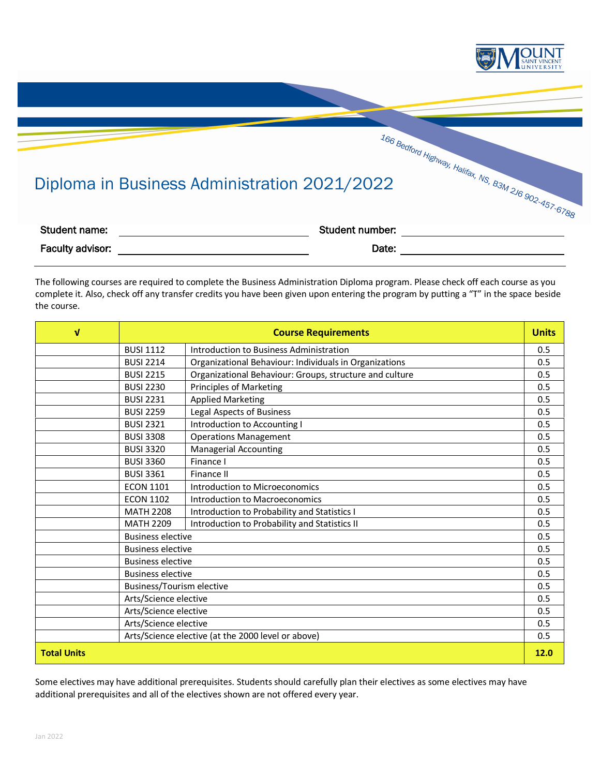

## Diploma in Business Administration 2021/2022

| Student name:    | Student number: |  |
|------------------|-----------------|--|
| Faculty advisor: | Date:           |  |

The following courses are required to complete the Business Administration Diploma program. Please check off each course as you complete it. Also, check off any transfer credits you have been given upon entering the program by putting a "T" in the space beside the course.

| $\sqrt{ }$         | <b>Course Requirements</b>                         |                                                         | <b>Units</b> |
|--------------------|----------------------------------------------------|---------------------------------------------------------|--------------|
|                    | <b>BUSI 1112</b>                                   | Introduction to Business Administration                 | 0.5          |
|                    | <b>BUSI 2214</b>                                   | Organizational Behaviour: Individuals in Organizations  | 0.5          |
|                    | <b>BUSI 2215</b>                                   | Organizational Behaviour: Groups, structure and culture | 0.5          |
|                    | <b>BUSI 2230</b>                                   | <b>Principles of Marketing</b>                          | 0.5          |
|                    | <b>BUSI 2231</b>                                   | <b>Applied Marketing</b>                                | 0.5          |
|                    | <b>BUSI 2259</b>                                   | <b>Legal Aspects of Business</b>                        | 0.5          |
|                    | <b>BUSI 2321</b>                                   | Introduction to Accounting I                            | 0.5          |
|                    | <b>BUSI 3308</b>                                   | <b>Operations Management</b>                            | 0.5          |
|                    | <b>BUSI 3320</b>                                   | <b>Managerial Accounting</b>                            | 0.5          |
|                    | <b>BUSI 3360</b>                                   | Finance I                                               | 0.5          |
|                    | <b>BUSI 3361</b>                                   | Finance II                                              | 0.5          |
|                    | <b>ECON 1101</b>                                   | Introduction to Microeconomics                          | 0.5          |
|                    | <b>ECON 1102</b>                                   | Introduction to Macroeconomics                          | 0.5          |
|                    | <b>MATH 2208</b>                                   | Introduction to Probability and Statistics I            | 0.5          |
|                    | <b>MATH 2209</b>                                   | Introduction to Probability and Statistics II           | 0.5          |
|                    | <b>Business elective</b>                           |                                                         | 0.5          |
|                    | <b>Business elective</b>                           |                                                         | 0.5          |
|                    | <b>Business elective</b>                           |                                                         | 0.5          |
|                    | <b>Business elective</b>                           |                                                         |              |
|                    | Business/Tourism elective                          |                                                         |              |
|                    | Arts/Science elective                              |                                                         |              |
|                    | Arts/Science elective                              |                                                         | 0.5          |
|                    | Arts/Science elective                              |                                                         | 0.5          |
|                    | Arts/Science elective (at the 2000 level or above) |                                                         | 0.5          |
| <b>Total Units</b> |                                                    |                                                         | 12.0         |

Some electives may have additional prerequisites. Students should carefully plan their electives as some electives may have additional prerequisites and all of the electives shown are not offered every year.